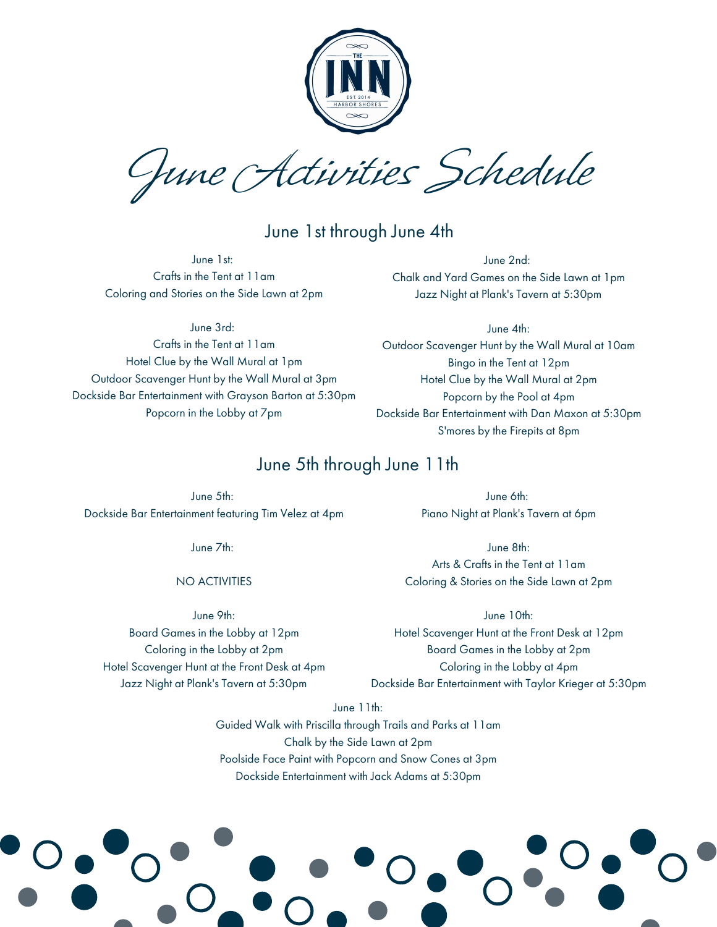

June Activities Schedule

## June 1st through June 4th

June 1st: Crafts in the Tent at 11am Coloring and Stories on the Side Lawn at 2pm

June 2nd: Chalk and Yard Games on the Side Lawn at 1pm Jazz Night at Plank's Tavern at 5:30pm

June 3rd: Crafts in the Tent at 11am Hotel Clue by the Wall Mural at 1pm

Outdoor Scavenger Hunt by the Wall Mural at 3pm Dockside Bar Entertainment with Grayson Barton at 5:30pm Popcorn in the Lobby at 7pm

June 4th: Outdoor Scavenger Hunt by the Wall Mural at 10am Bingo in the Tent at 12pm Hotel Clue by the Wall Mural at 2pm Popcorn by the Pool at 4pm Dockside Bar Entertainment with Dan Maxon at 5:30pm S'mores by the Firepits at 8pm

# June 5th through June 11th

June 5th: Dockside Bar Entertainment featuring Tim Velez at 4pm

June 7th:

NO ACTIVITIES

June 9th: Board Games in the Lobby at 12pm Coloring in the Lobby at 2pm Hotel Scavenger Hunt at the Front Desk at 4pm Jazz Night at Plank's Tavern at 5:30pm

June 6th: Piano Night at Plank's Tavern at 6pm

June 8th: Arts & Crafts in the Tent at 11am Coloring & Stories on the Side Lawn at 2pm

June 10th: Hotel Scavenger Hunt at the Front Desk at 12pm Board Games in the Lobby at 2pm Coloring in the Lobby at 4pm Dockside Bar Entertainment with Taylor Krieger at 5:30pm

June 11th: Guided Walk with Priscilla through Trails and Parks at 11am Chalk by the Side Lawn at 2pm Poolside Face Paint with Popcorn and Snow Cones at 3pm

Dockside Entertainment with Jack Adams at 5:30pm

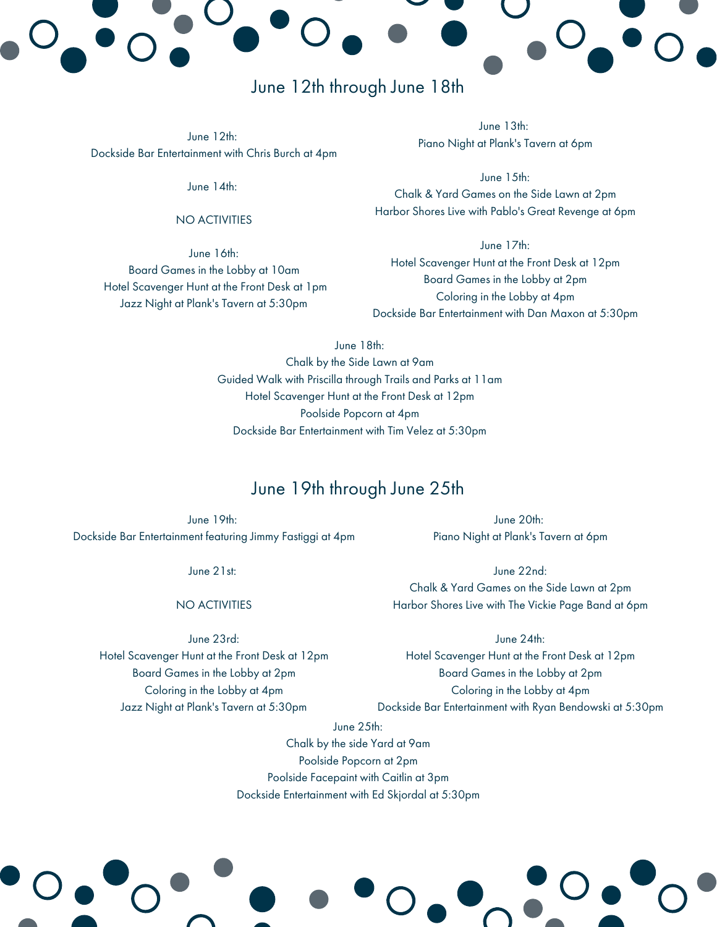# June 12th through June 18th

June 12th: Dockside Bar Entertainment with Chris Burch at 4pm

June 14th:

### NO ACTIVITIES

June 16th: Board Games in the Lobby at 10am Hotel Scavenger Hunt at the Front Desk at 1pm Jazz Night at Plank's Tavern at 5:30pm

June 13th: Piano Night at Plank's Tavern at 6pm

June 15th: Chalk & Yard Games on the Side Lawn at 2pm Harbor Shores Live with Pablo's Great Revenge at 6pm

June 17th: Hotel Scavenger Hunt at the Front Desk at 12pm Board Games in the Lobby at 2pm Coloring in the Lobby at 4pm Dockside Bar Entertainment with Dan Maxon at 5:30pm

June 18th:

Chalk by the Side Lawn at 9am Guided Walk with Priscilla through Trails and Parks at 11am Hotel Scavenger Hunt at the Front Desk at 12pm Poolside Popcorn at 4pm Dockside Bar Entertainment with Tim Velez at 5:30pm

## June 19th through June 25th

June 19th: Dockside Bar Entertainment featuring Jimmy Fastiggi at 4pm

June 21st:

### NO ACTIVITIES

June 23rd:

Hotel Scavenger Hunt at the Front Desk at 12pm Board Games in the Lobby at 2pm Coloring in the Lobby at 4pm Jazz Night at Plank's Tavern at 5:30pm

June 20th: Piano Night at Plank's Tavern at 6pm

June 22nd: Chalk & Yard Games on the Side Lawn at 2pm Harbor Shores Live with The Vickie Page Band at 6pm

June 24th: Hotel Scavenger Hunt at the Front Desk at 12pm Board Games in the Lobby at 2pm Coloring in the Lobby at 4pm Dockside Bar Entertainment with Ryan Bendowski at 5:30pm

June 25th:

Chalk by the side Yard at 9am Poolside Popcorn at 2pm Poolside Facepaint with Caitlin at 3pm Dockside Entertainment with Ed Skjordal at 5:30pm